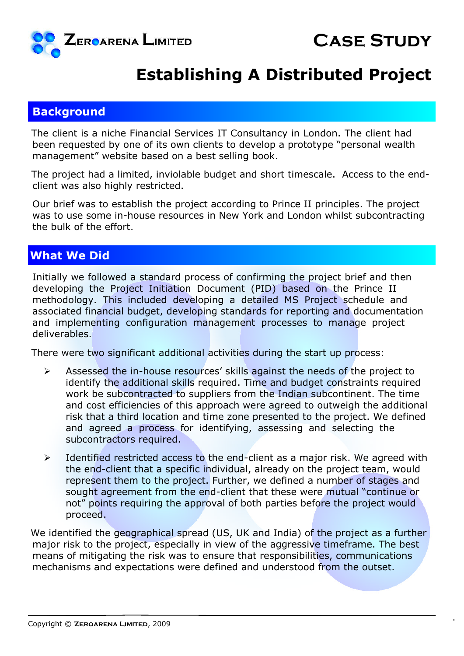

## **Establishing A Distributed Project**

#### **Background**

The client is a niche Financial Services IT Consultancy in London. The client had been requested by one of its own clients to develop a prototype "personal wealth management" website based on a best selling book.

The project had a limited, inviolable budget and short timescale. Access to the endclient was also highly restricted.

Our brief was to establish the project according to Prince II principles. The project was to use some in-house resources in New York and London whilst subcontracting the bulk of the effort.

### **What We Did**

Initially we followed a standard process of confirming the project brief and then developing the Project Initiation Document (PID) based on the Prince II methodology. This included developing a detailed MS Project schedule and associated financial budget, developing standards for reporting and documentation and implementing configuration management processes to manage project deliverables.

There were two significant additional activities during the start up process:

- $\triangleright$  Assessed the in-house resources' skills against the needs of the project to identify the additional skills required. Time and budget constraints required work be subcontracted to suppliers from the Indian subcontinent. The time and cost efficiencies of this approach were agreed to outweigh the additional risk that a third location and time zone presented to the project. We defined and agreed a process for identifying, assessing and selecting the subcontractors required.
- $\triangleright$  Identified restricted access to the end-client as a major risk. We agreed with the end-client that a specific individual, already on the project team, would represent them to the project. Further, we defined a number of stages and sought agreement from the end-client that these were mutual "continue or not" points requiring the approval of both parties before the project would proceed.

We identified the geographical spread (US, UK and India) of the project as a further major risk to the project, especially in view of the aggressive timeframe. The best means of mitigating the risk was to ensure that responsibilities, communications mechanisms and expectations were defined and understood from the outset.